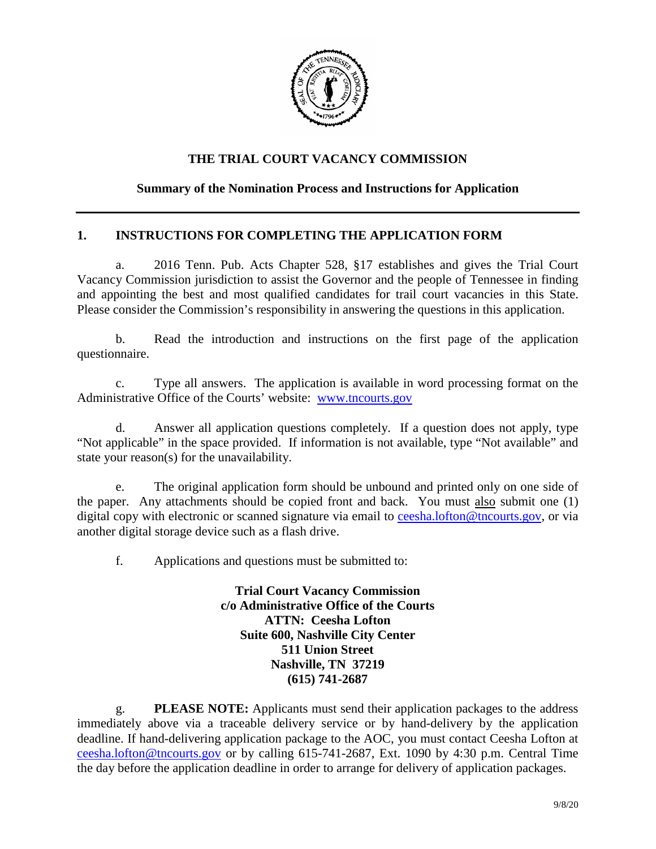

## **THE TRIAL COURT VACANCY COMMISSION**

## **Summary of the Nomination Process and Instructions for Application**

## **1. INSTRUCTIONS FOR COMPLETING THE APPLICATION FORM**

a. 2016 Tenn. Pub. Acts Chapter 528, §17 establishes and gives the Trial Court Vacancy Commission jurisdiction to assist the Governor and the people of Tennessee in finding and appointing the best and most qualified candidates for trail court vacancies in this State. Please consider the Commission's responsibility in answering the questions in this application.

b. Read the introduction and instructions on the first page of the application questionnaire.

c. Type all answers. The application is available in word processing format on the Administrative Office of the Courts' website: [www.tncourts.gov](http://www.tncourts.gov/)

d. Answer all application questions completely. If a question does not apply, type "Not applicable" in the space provided. If information is not available, type "Not available" and state your reason(s) for the unavailability.

e. The original application form should be unbound and printed only on one side of the paper. Any attachments should be copied front and back. You must also submit one (1) digital copy with electronic or scanned signature via email to [ceesha.lofton@tncourts.gov,](mailto:ceesha.lofton@tncourts.gov) or via another digital storage device such as a flash drive.

f. Applications and questions must be submitted to:

**Trial Court Vacancy Commission c/o Administrative Office of the Courts ATTN: Ceesha Lofton Suite 600, Nashville City Center 511 Union Street Nashville, TN 37219 (615) 741-2687**

g. **PLEASE NOTE:** Applicants must send their application packages to the address immediately above via a traceable delivery service or by hand-delivery by the application deadline. If hand-delivering application package to the AOC, you must contact Ceesha Lofton at [ceesha.lofton@tncourts.gov](mailto:ceesha.lofton@tncourts.gov) or by calling 615-741-2687, Ext. 1090 by 4:30 p.m. Central Time the day before the application deadline in order to arrange for delivery of application packages.